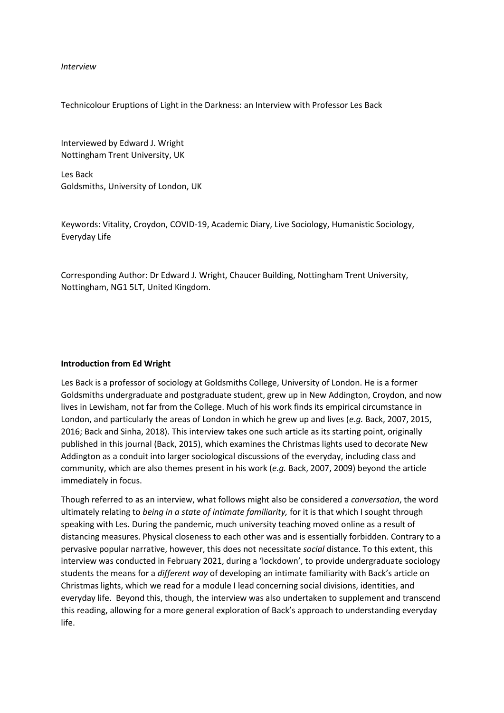## *Interview*

Technicolour Eruptions of Light in the Darkness: an Interview with Professor Les Back

Interviewed by Edward J. Wright Nottingham Trent University, UK

Les Back Goldsmiths, University of London, UK

Keywords: Vitality, Croydon, COVID-19, Academic Diary, Live Sociology, Humanistic Sociology, Everyday Life

Corresponding Author: Dr Edward J. Wright, Chaucer Building, Nottingham Trent University, Nottingham, NG1 5LT, United Kingdom.

## **Introduction from Ed Wright**

Les Back is a professor of sociology at Goldsmiths College, University of London. He is a former Goldsmiths undergraduate and postgraduate student, grew up in New Addington, Croydon, and now lives in Lewisham, not far from the College. Much of his work finds its empirical circumstance in London, and particularly the areas of London in which he grew up and lives (*e.g.* Back, 2007, 2015, 2016; Back and Sinha, 2018). This interview takes one such article as its starting point, originally published in this journal (Back, 2015), which examines the Christmas lights used to decorate New Addington as a conduit into larger sociological discussions of the everyday, including class and community, which are also themes present in his work (*e.g.* Back, 2007, 2009) beyond the article immediately in focus.

Though referred to as an interview, what follows might also be considered a *conversation*, the word ultimately relating to *being in a state of intimate familiarity,* for it is that which I sought through speaking with Les. During the pandemic, much university teaching moved online as a result of distancing measures. Physical closeness to each other was and is essentially forbidden. Contrary to a pervasive popular narrative, however, this does not necessitate *social* distance. To this extent, this interview was conducted in February 2021, during a 'lockdown', to provide undergraduate sociology students the means for a *different way* of developing an intimate familiarity with Back's article on Christmas lights, which we read for a module I lead concerning social divisions, identities, and everyday life. Beyond this, though, the interview was also undertaken to supplement and transcend this reading, allowing for a more general exploration of Back's approach to understanding everyday life.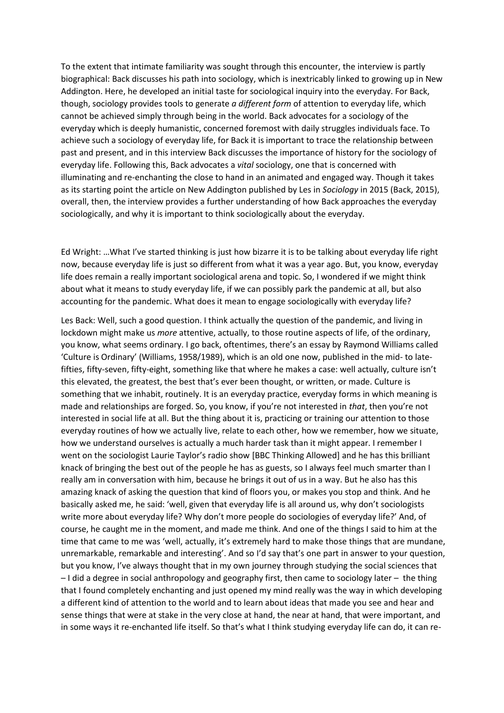To the extent that intimate familiarity was sought through this encounter, the interview is partly biographical: Back discusses his path into sociology, which is inextricably linked to growing up in New Addington. Here, he developed an initial taste for sociological inquiry into the everyday. For Back, though, sociology provides tools to generate *a different form* of attention to everyday life, which cannot be achieved simply through being in the world. Back advocates for a sociology of the everyday which is deeply humanistic, concerned foremost with daily struggles individuals face. To achieve such a sociology of everyday life, for Back it is important to trace the relationship between past and present, and in this interview Back discusses the importance of history for the sociology of everyday life. Following this, Back advocates a *vital* sociology, one that is concerned with illuminating and re-enchanting the close to hand in an animated and engaged way. Though it takes as its starting point the article on New Addington published by Les in *Sociology* in 2015 (Back, 2015), overall, then, the interview provides a further understanding of how Back approaches the everyday sociologically, and why it is important to think sociologically about the everyday.

Ed Wright: …What I've started thinking is just how bizarre it is to be talking about everyday life right now, because everyday life is just so different from what it was a year ago. But, you know, everyday life does remain a really important sociological arena and topic. So, I wondered if we might think about what it means to study everyday life, if we can possibly park the pandemic at all, but also accounting for the pandemic. What does it mean to engage sociologically with everyday life?

Les Back: Well, such a good question. I think actually the question of the pandemic, and living in lockdown might make us *more* attentive, actually, to those routine aspects of life, of the ordinary, you know, what seems ordinary. I go back, oftentimes, there's an essay by Raymond Williams called 'Culture is Ordinary' (Williams, 1958/1989), which is an old one now, published in the mid- to latefifties, fifty-seven, fifty-eight, something like that where he makes a case: well actually, culture isn't this elevated, the greatest, the best that's ever been thought, or written, or made. Culture is something that we inhabit, routinely. It is an everyday practice, everyday forms in which meaning is made and relationships are forged. So, you know, if you're not interested in *that*, then you're not interested in social life at all. But the thing about it is, practicing or training our attention to those everyday routines of how we actually live, relate to each other, how we remember, how we situate, how we understand ourselves is actually a much harder task than it might appear. I remember I went on the sociologist Laurie Taylor's radio show [BBC Thinking Allowed] and he has this brilliant knack of bringing the best out of the people he has as guests, so I always feel much smarter than I really am in conversation with him, because he brings it out of us in a way. But he also has this amazing knack of asking the question that kind of floors you, or makes you stop and think. And he basically asked me, he said: 'well, given that everyday life is all around us, why don't sociologists write more about everyday life? Why don't more people do sociologies of everyday life?' And, of course, he caught me in the moment, and made me think. And one of the things I said to him at the time that came to me was 'well, actually, it's extremely hard to make those things that are mundane, unremarkable, remarkable and interesting'. And so I'd say that's one part in answer to your question, but you know, I've always thought that in my own journey through studying the social sciences that – I did a degree in social anthropology and geography first, then came to sociology later – the thing that I found completely enchanting and just opened my mind really was the way in which developing a different kind of attention to the world and to learn about ideas that made you see and hear and sense things that were at stake in the very close at hand, the near at hand, that were important, and in some ways it re-enchanted life itself. So that's what I think studying everyday life can do, it can re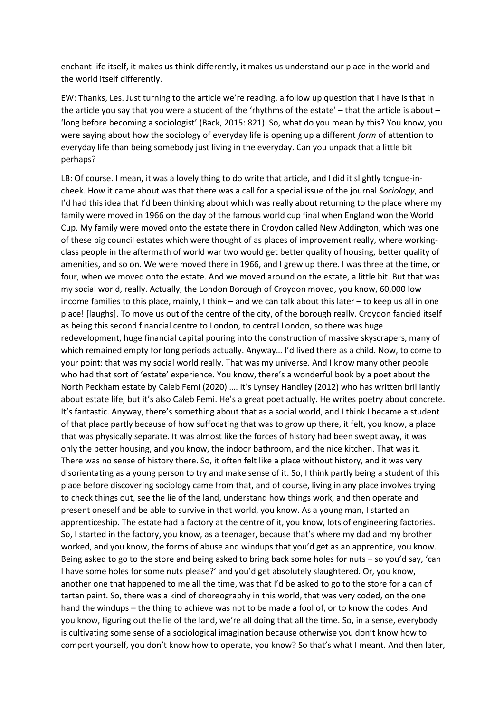enchant life itself, it makes us think differently, it makes us understand our place in the world and the world itself differently.

EW: Thanks, Les. Just turning to the article we're reading, a follow up question that I have is that in the article you say that you were a student of the 'rhythms of the estate' – that the article is about – 'long before becoming a sociologist' (Back, 2015: 821). So, what do you mean by this? You know, you were saying about how the sociology of everyday life is opening up a different *form* of attention to everyday life than being somebody just living in the everyday. Can you unpack that a little bit perhaps?

LB: Of course. I mean, it was a lovely thing to do write that article, and I did it slightly tongue-incheek. How it came about was that there was a call for a special issue of the journal *Sociology*, and I'd had this idea that I'd been thinking about which was really about returning to the place where my family were moved in 1966 on the day of the famous world cup final when England won the World Cup. My family were moved onto the estate there in Croydon called New Addington, which was one of these big council estates which were thought of as places of improvement really, where workingclass people in the aftermath of world war two would get better quality of housing, better quality of amenities, and so on. We were moved there in 1966, and I grew up there. I was three at the time, or four, when we moved onto the estate. And we moved around on the estate, a little bit. But that was my social world, really. Actually, the London Borough of Croydon moved, you know, 60,000 low income families to this place, mainly, I think – and we can talk about this later – to keep us all in one place! [laughs]. To move us out of the centre of the city, of the borough really. Croydon fancied itself as being this second financial centre to London, to central London, so there was huge redevelopment, huge financial capital pouring into the construction of massive skyscrapers, many of which remained empty for long periods actually. Anyway… I'd lived there as a child. Now, to come to your point: that was my social world really. That was my universe. And I know many other people who had that sort of 'estate' experience. You know, there's a wonderful book by a poet about the North Peckham estate by Caleb Femi (2020) …. It's Lynsey Handley (2012) who has written brilliantly about estate life, but it's also Caleb Femi. He's a great poet actually. He writes poetry about concrete. It's fantastic. Anyway, there's something about that as a social world, and I think I became a student of that place partly because of how suffocating that was to grow up there, it felt, you know, a place that was physically separate. It was almost like the forces of history had been swept away, it was only the better housing, and you know, the indoor bathroom, and the nice kitchen. That was it. There was no sense of history there. So, it often felt like a place without history, and it was very disorientating as a young person to try and make sense of it. So, I think partly being a student of this place before discovering sociology came from that, and of course, living in any place involves trying to check things out, see the lie of the land, understand how things work, and then operate and present oneself and be able to survive in that world, you know. As a young man, I started an apprenticeship. The estate had a factory at the centre of it, you know, lots of engineering factories. So, I started in the factory, you know, as a teenager, because that's where my dad and my brother worked, and you know, the forms of abuse and windups that you'd get as an apprentice, you know. Being asked to go to the store and being asked to bring back some holes for nuts – so you'd say, 'can I have some holes for some nuts please?' and you'd get absolutely slaughtered. Or, you know, another one that happened to me all the time, was that I'd be asked to go to the store for a can of tartan paint. So, there was a kind of choreography in this world, that was very coded, on the one hand the windups – the thing to achieve was not to be made a fool of, or to know the codes. And you know, figuring out the lie of the land, we're all doing that all the time. So, in a sense, everybody is cultivating some sense of a sociological imagination because otherwise you don't know how to comport yourself, you don't know how to operate, you know? So that's what I meant. And then later,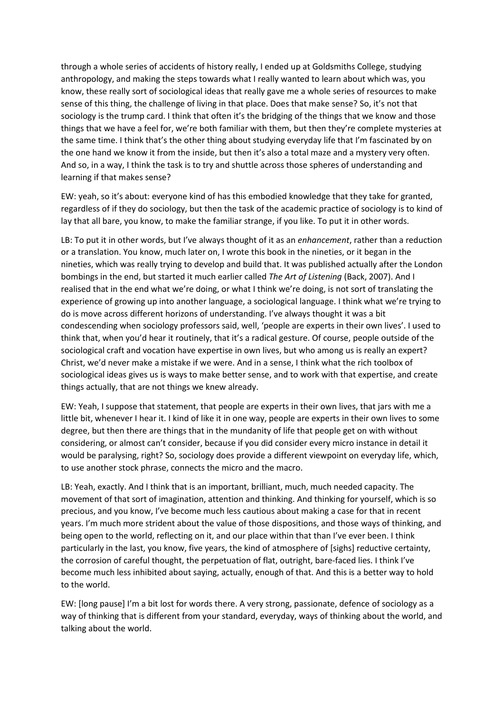through a whole series of accidents of history really, I ended up at Goldsmiths College, studying anthropology, and making the steps towards what I really wanted to learn about which was, you know, these really sort of sociological ideas that really gave me a whole series of resources to make sense of this thing, the challenge of living in that place. Does that make sense? So, it's not that sociology is the trump card. I think that often it's the bridging of the things that we know and those things that we have a feel for, we're both familiar with them, but then they're complete mysteries at the same time. I think that's the other thing about studying everyday life that I'm fascinated by on the one hand we know it from the inside, but then it's also a total maze and a mystery very often. And so, in a way, I think the task is to try and shuttle across those spheres of understanding and learning if that makes sense?

EW: yeah, so it's about: everyone kind of has this embodied knowledge that they take for granted, regardless of if they do sociology, but then the task of the academic practice of sociology is to kind of lay that all bare, you know, to make the familiar strange, if you like. To put it in other words.

LB: To put it in other words, but I've always thought of it as an *enhancement*, rather than a reduction or a translation. You know, much later on, I wrote this book in the nineties, or it began in the nineties, which was really trying to develop and build that. It was published actually after the London bombings in the end, but started it much earlier called *The Art of Listening* (Back, 2007). And I realised that in the end what we're doing, or what I think we're doing, is not sort of translating the experience of growing up into another language, a sociological language. I think what we're trying to do is move across different horizons of understanding. I've always thought it was a bit condescending when sociology professors said, well, 'people are experts in their own lives'. I used to think that, when you'd hear it routinely, that it's a radical gesture. Of course, people outside of the sociological craft and vocation have expertise in own lives, but who among us is really an expert? Christ, we'd never make a mistake if we were. And in a sense, I think what the rich toolbox of sociological ideas gives us is ways to make better sense, and to work with that expertise, and create things actually, that are not things we knew already.

EW: Yeah, I suppose that statement, that people are experts in their own lives, that jars with me a little bit, whenever I hear it. I kind of like it in one way, people are experts in their own lives to some degree, but then there are things that in the mundanity of life that people get on with without considering, or almost can't consider, because if you did consider every micro instance in detail it would be paralysing, right? So, sociology does provide a different viewpoint on everyday life, which, to use another stock phrase, connects the micro and the macro.

LB: Yeah, exactly. And I think that is an important, brilliant, much, much needed capacity. The movement of that sort of imagination, attention and thinking. And thinking for yourself, which is so precious, and you know, I've become much less cautious about making a case for that in recent years. I'm much more strident about the value of those dispositions, and those ways of thinking, and being open to the world, reflecting on it, and our place within that than I've ever been. I think particularly in the last, you know, five years, the kind of atmosphere of [sighs] reductive certainty, the corrosion of careful thought, the perpetuation of flat, outright, bare-faced lies. I think I've become much less inhibited about saying, actually, enough of that. And this is a better way to hold to the world.

EW: [long pause] I'm a bit lost for words there. A very strong, passionate, defence of sociology as a way of thinking that is different from your standard, everyday, ways of thinking about the world, and talking about the world.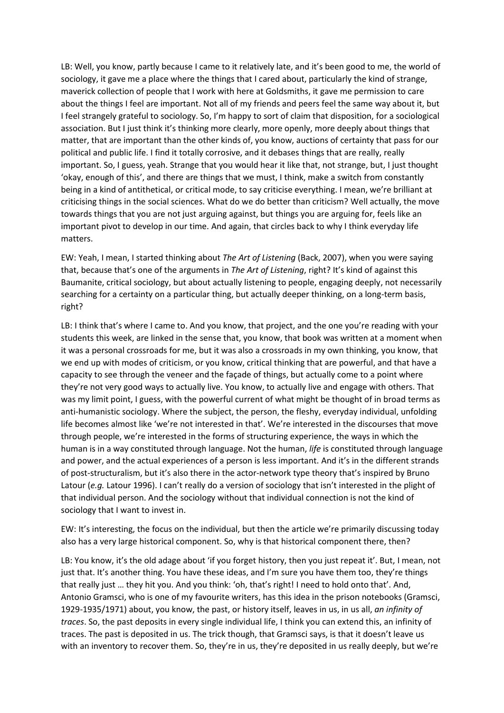LB: Well, you know, partly because I came to it relatively late, and it's been good to me, the world of sociology, it gave me a place where the things that I cared about, particularly the kind of strange, maverick collection of people that I work with here at Goldsmiths, it gave me permission to care about the things I feel are important. Not all of my friends and peers feel the same way about it, but I feel strangely grateful to sociology. So, I'm happy to sort of claim that disposition, for a sociological association. But I just think it's thinking more clearly, more openly, more deeply about things that matter, that are important than the other kinds of, you know, auctions of certainty that pass for our political and public life. I find it totally corrosive, and it debases things that are really, really important. So, I guess, yeah. Strange that you would hear it like that, not strange, but, I just thought 'okay, enough of this', and there are things that we must, I think, make a switch from constantly being in a kind of antithetical, or critical mode, to say criticise everything. I mean, we're brilliant at criticising things in the social sciences. What do we do better than criticism? Well actually, the move towards things that you are not just arguing against, but things you are arguing for, feels like an important pivot to develop in our time. And again, that circles back to why I think everyday life matters.

EW: Yeah, I mean, I started thinking about *The Art of Listening* (Back, 2007), when you were saying that, because that's one of the arguments in *The Art of Listening*, right? It's kind of against this Baumanite, critical sociology, but about actually listening to people, engaging deeply, not necessarily searching for a certainty on a particular thing, but actually deeper thinking, on a long-term basis, right?

LB: I think that's where I came to. And you know, that project, and the one you're reading with your students this week, are linked in the sense that, you know, that book was written at a moment when it was a personal crossroads for me, but it was also a crossroads in my own thinking, you know, that we end up with modes of criticism, or you know, critical thinking that are powerful, and that have a capacity to see through the veneer and the façade of things, but actually come to a point where they're not very good ways to actually live. You know, to actually live and engage with others. That was my limit point, I guess, with the powerful current of what might be thought of in broad terms as anti-humanistic sociology. Where the subject, the person, the fleshy, everyday individual, unfolding life becomes almost like 'we're not interested in that'. We're interested in the discourses that move through people, we're interested in the forms of structuring experience, the ways in which the human is in a way constituted through language. Not the human, *life* is constituted through language and power, and the actual experiences of a person is less important. And it's in the different strands of post-structuralism, but it's also there in the actor-network type theory that's inspired by Bruno Latour (*e.g.* Latour 1996). I can't really do a version of sociology that isn't interested in the plight of that individual person. And the sociology without that individual connection is not the kind of sociology that I want to invest in.

EW: It's interesting, the focus on the individual, but then the article we're primarily discussing today also has a very large historical component. So, why is that historical component there, then?

LB: You know, it's the old adage about 'if you forget history, then you just repeat it'. But, I mean, not just that. It's another thing. You have these ideas, and I'm sure you have them too, they're things that really just … they hit you. And you think: 'oh, that's right! I need to hold onto that'. And, Antonio Gramsci, who is one of my favourite writers, has this idea in the prison notebooks (Gramsci, 1929-1935/1971) about, you know, the past, or history itself, leaves in us, in us all, *an infinity of traces*. So, the past deposits in every single individual life, I think you can extend this, an infinity of traces. The past is deposited in us. The trick though, that Gramsci says, is that it doesn't leave us with an inventory to recover them. So, they're in us, they're deposited in us really deeply, but we're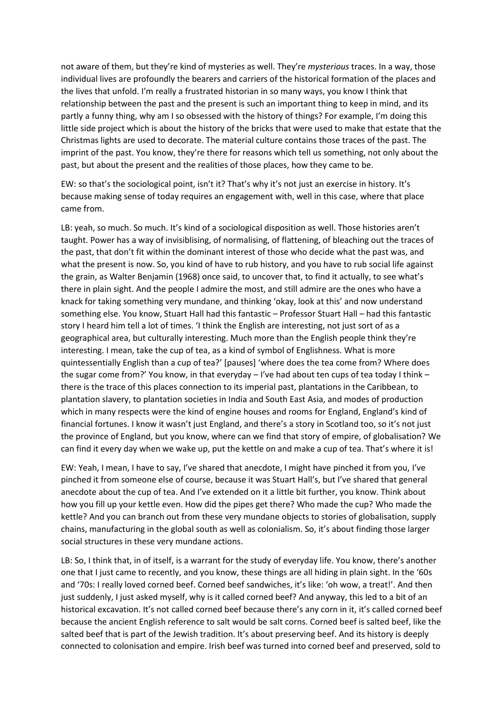not aware of them, but they're kind of mysteries as well. They're *mysterious* traces. In a way, those individual lives are profoundly the bearers and carriers of the historical formation of the places and the lives that unfold. I'm really a frustrated historian in so many ways, you know I think that relationship between the past and the present is such an important thing to keep in mind, and its partly a funny thing, why am I so obsessed with the history of things? For example, I'm doing this little side project which is about the history of the bricks that were used to make that estate that the Christmas lights are used to decorate. The material culture contains those traces of the past. The imprint of the past. You know, they're there for reasons which tell us something, not only about the past, but about the present and the realities of those places, how they came to be.

EW: so that's the sociological point, isn't it? That's why it's not just an exercise in history. It's because making sense of today requires an engagement with, well in this case, where that place came from.

LB: yeah, so much. So much. It's kind of a sociological disposition as well. Those histories aren't taught. Power has a way of invisiblising, of normalising, of flattening, of bleaching out the traces of the past, that don't fit within the dominant interest of those who decide what the past was, and what the present is now. So, you kind of have to rub history, and you have to rub social life against the grain, as Walter Benjamin (1968) once said, to uncover that, to find it actually, to see what's there in plain sight. And the people I admire the most, and still admire are the ones who have a knack for taking something very mundane, and thinking 'okay, look at this' and now understand something else. You know, Stuart Hall had this fantastic – Professor Stuart Hall – had this fantastic story I heard him tell a lot of times. 'I think the English are interesting, not just sort of as a geographical area, but culturally interesting. Much more than the English people think they're interesting. I mean, take the cup of tea, as a kind of symbol of Englishness. What is more quintessentially English than a cup of tea?' [pauses] 'where does the tea come from? Where does the sugar come from?' You know, in that everyday – I've had about ten cups of tea today I think – there is the trace of this places connection to its imperial past, plantations in the Caribbean, to plantation slavery, to plantation societies in India and South East Asia, and modes of production which in many respects were the kind of engine houses and rooms for England, England's kind of financial fortunes. I know it wasn't just England, and there's a story in Scotland too, so it's not just the province of England, but you know, where can we find that story of empire, of globalisation? We can find it every day when we wake up, put the kettle on and make a cup of tea. That's where it is!

EW: Yeah, I mean, I have to say, I've shared that anecdote, I might have pinched it from you, I've pinched it from someone else of course, because it was Stuart Hall's, but I've shared that general anecdote about the cup of tea. And I've extended on it a little bit further, you know. Think about how you fill up your kettle even. How did the pipes get there? Who made the cup? Who made the kettle? And you can branch out from these very mundane objects to stories of globalisation, supply chains, manufacturing in the global south as well as colonialism. So, it's about finding those larger social structures in these very mundane actions.

LB: So, I think that, in of itself, is a warrant for the study of everyday life. You know, there's another one that I just came to recently, and you know, these things are all hiding in plain sight. In the '60s and '70s: I really loved corned beef. Corned beef sandwiches, it's like: 'oh wow, a treat!'. And then just suddenly, I just asked myself, why is it called corned beef? And anyway, this led to a bit of an historical excavation. It's not called corned beef because there's any corn in it, it's called corned beef because the ancient English reference to salt would be salt corns. Corned beef is salted beef, like the salted beef that is part of the Jewish tradition. It's about preserving beef. And its history is deeply connected to colonisation and empire. Irish beef was turned into corned beef and preserved, sold to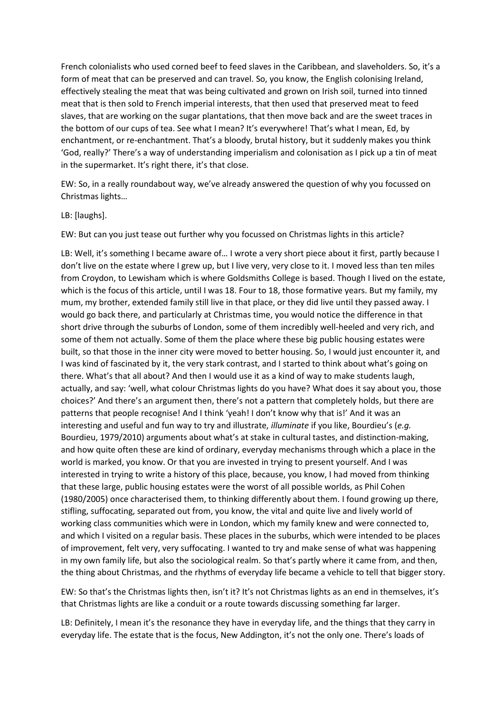French colonialists who used corned beef to feed slaves in the Caribbean, and slaveholders. So, it's a form of meat that can be preserved and can travel. So, you know, the English colonising Ireland, effectively stealing the meat that was being cultivated and grown on Irish soil, turned into tinned meat that is then sold to French imperial interests, that then used that preserved meat to feed slaves, that are working on the sugar plantations, that then move back and are the sweet traces in the bottom of our cups of tea. See what I mean? It's everywhere! That's what I mean, Ed, by enchantment, or re-enchantment. That's a bloody, brutal history, but it suddenly makes you think 'God, really?' There's a way of understanding imperialism and colonisation as I pick up a tin of meat in the supermarket. It's right there, it's that close.

EW: So, in a really roundabout way, we've already answered the question of why you focussed on Christmas lights…

LB: [laughs].

EW: But can you just tease out further why you focussed on Christmas lights in this article?

LB: Well, it's something I became aware of... I wrote a very short piece about it first, partly because I don't live on the estate where I grew up, but I live very, very close to it. I moved less than ten miles from Croydon, to Lewisham which is where Goldsmiths College is based. Though I lived on the estate, which is the focus of this article, until I was 18. Four to 18, those formative years. But my family, my mum, my brother, extended family still live in that place, or they did live until they passed away. I would go back there, and particularly at Christmas time, you would notice the difference in that short drive through the suburbs of London, some of them incredibly well-heeled and very rich, and some of them not actually. Some of them the place where these big public housing estates were built, so that those in the inner city were moved to better housing. So, I would just encounter it, and I was kind of fascinated by it, the very stark contrast, and I started to think about what's going on there. What's that all about? And then I would use it as a kind of way to make students laugh, actually, and say: 'well, what colour Christmas lights do you have? What does it say about you, those choices?' And there's an argument then, there's not a pattern that completely holds, but there are patterns that people recognise! And I think 'yeah! I don't know why that is!' And it was an interesting and useful and fun way to try and illustrate, *illuminate* if you like, Bourdieu's (*e.g.*  Bourdieu, 1979/2010) arguments about what's at stake in cultural tastes, and distinction-making, and how quite often these are kind of ordinary, everyday mechanisms through which a place in the world is marked, you know. Or that you are invested in trying to present yourself. And I was interested in trying to write a history of this place, because, you know, I had moved from thinking that these large, public housing estates were the worst of all possible worlds, as Phil Cohen (1980/2005) once characterised them, to thinking differently about them. I found growing up there, stifling, suffocating, separated out from, you know, the vital and quite live and lively world of working class communities which were in London, which my family knew and were connected to, and which I visited on a regular basis. These places in the suburbs, which were intended to be places of improvement, felt very, very suffocating. I wanted to try and make sense of what was happening in my own family life, but also the sociological realm. So that's partly where it came from, and then, the thing about Christmas, and the rhythms of everyday life became a vehicle to tell that bigger story.

EW: So that's the Christmas lights then, isn't it? It's not Christmas lights as an end in themselves, it's that Christmas lights are like a conduit or a route towards discussing something far larger.

LB: Definitely, I mean it's the resonance they have in everyday life, and the things that they carry in everyday life. The estate that is the focus, New Addington, it's not the only one. There's loads of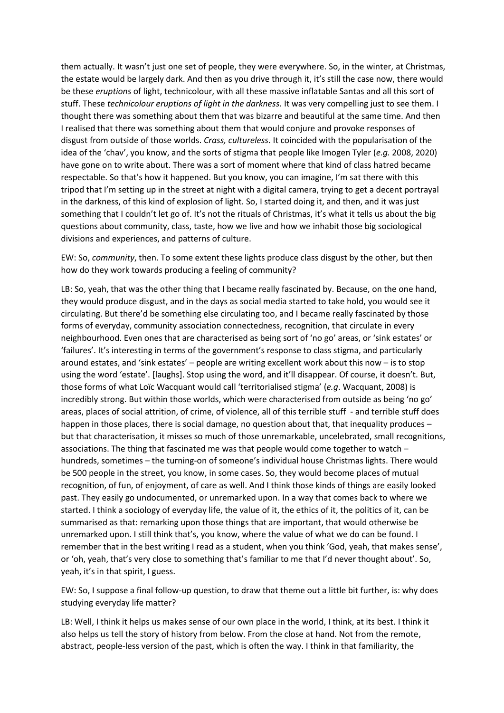them actually. It wasn't just one set of people, they were everywhere. So, in the winter, at Christmas, the estate would be largely dark. And then as you drive through it, it's still the case now, there would be these *eruptions* of light, technicolour, with all these massive inflatable Santas and all this sort of stuff. These *technicolour eruptions of light in the darkness.* It was very compelling just to see them. I thought there was something about them that was bizarre and beautiful at the same time. And then I realised that there was something about them that would conjure and provoke responses of disgust from outside of those worlds. *Crass, cultureless*. It coincided with the popularisation of the idea of the 'chav', you know, and the sorts of stigma that people like Imogen Tyler (*e.g.* 2008, 2020) have gone on to write about. There was a sort of moment where that kind of class hatred became respectable. So that's how it happened. But you know, you can imagine, I'm sat there with this tripod that I'm setting up in the street at night with a digital camera, trying to get a decent portrayal in the darkness, of this kind of explosion of light. So, I started doing it, and then, and it was just something that I couldn't let go of. It's not the rituals of Christmas, it's what it tells us about the big questions about community, class, taste, how we live and how we inhabit those big sociological divisions and experiences, and patterns of culture.

EW: So, *community*, then. To some extent these lights produce class disgust by the other, but then how do they work towards producing a feeling of community?

LB: So, yeah, that was the other thing that I became really fascinated by. Because, on the one hand, they would produce disgust, and in the days as social media started to take hold, you would see it circulating. But there'd be something else circulating too, and I became really fascinated by those forms of everyday, community association connectedness, recognition, that circulate in every neighbourhood. Even ones that are characterised as being sort of 'no go' areas, or 'sink estates' or 'failures'. It's interesting in terms of the government's response to class stigma, and particularly around estates, and 'sink estates' – people are writing excellent work about this now – is to stop using the word 'estate'. [laughs]. Stop using the word, and it'll disappear. Of course, it doesn't. But, those forms of what Loïc Wacquant would call 'territorialised stigma' (*e.g*. Wacquant, 2008) is incredibly strong. But within those worlds, which were characterised from outside as being 'no go' areas, places of social attrition, of crime, of violence, all of this terrible stuff - and terrible stuff does happen in those places, there is social damage, no question about that, that inequality produces – but that characterisation, it misses so much of those unremarkable, uncelebrated, small recognitions, associations. The thing that fascinated me was that people would come together to watch – hundreds, sometimes – the turning-on of someone's individual house Christmas lights. There would be 500 people in the street, you know, in some cases. So, they would become places of mutual recognition, of fun, of enjoyment, of care as well. And I think those kinds of things are easily looked past. They easily go undocumented, or unremarked upon. In a way that comes back to where we started. I think a sociology of everyday life, the value of it, the ethics of it, the politics of it, can be summarised as that: remarking upon those things that are important, that would otherwise be unremarked upon. I still think that's, you know, where the value of what we do can be found. I remember that in the best writing I read as a student, when you think 'God, yeah, that makes sense', or 'oh, yeah, that's very close to something that's familiar to me that I'd never thought about'. So, yeah, it's in that spirit, I guess.

EW: So, I suppose a final follow-up question, to draw that theme out a little bit further, is: why does studying everyday life matter?

LB: Well, I think it helps us makes sense of our own place in the world, I think, at its best. I think it also helps us tell the story of history from below. From the close at hand. Not from the remote, abstract, people-less version of the past, which is often the way. I think in that familiarity, the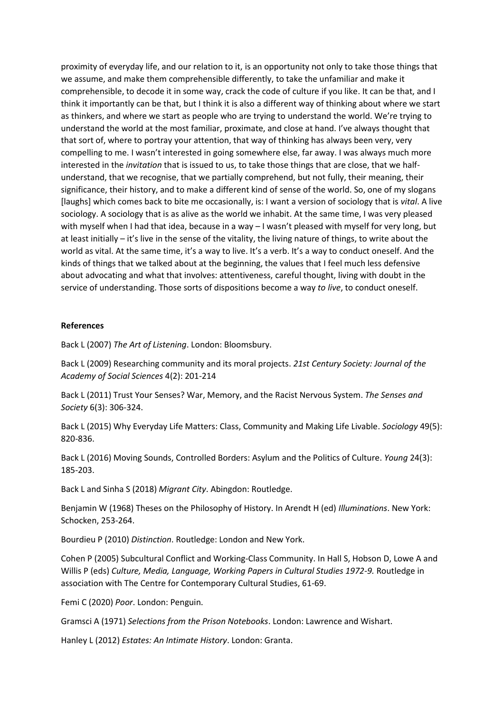proximity of everyday life, and our relation to it, is an opportunity not only to take those things that we assume, and make them comprehensible differently, to take the unfamiliar and make it comprehensible, to decode it in some way, crack the code of culture if you like. It can be that, and I think it importantly can be that, but I think it is also a different way of thinking about where we start as thinkers, and where we start as people who are trying to understand the world. We're trying to understand the world at the most familiar, proximate, and close at hand. I've always thought that that sort of, where to portray your attention, that way of thinking has always been very, very compelling to me. I wasn't interested in going somewhere else, far away. I was always much more interested in the *invitation* that is issued to us, to take those things that are close, that we halfunderstand, that we recognise, that we partially comprehend, but not fully, their meaning, their significance, their history, and to make a different kind of sense of the world. So, one of my slogans [laughs] which comes back to bite me occasionally, is: I want a version of sociology that is *vital*. A live sociology. A sociology that is as alive as the world we inhabit. At the same time, I was very pleased with myself when I had that idea, because in a way - I wasn't pleased with myself for very long, but at least initially – it's live in the sense of the vitality, the living nature of things, to write about the world as vital. At the same time, it's a way to live. It's a verb. It's a way to conduct oneself. And the kinds of things that we talked about at the beginning, the values that I feel much less defensive about advocating and what that involves: attentiveness, careful thought, living with doubt in the service of understanding. Those sorts of dispositions become a way *to live*, to conduct oneself.

## **References**

Back L (2007) *The Art of Listening*. London: Bloomsbury.

Back L (2009) Researching community and its moral projects. *21st Century Society: Journal of the Academy of Social Sciences* 4(2): 201-214

Back L (2011) Trust Your Senses? War, Memory, and the Racist Nervous System. *The Senses and Society* 6(3): 306-324.

Back L (2015) Why Everyday Life Matters: Class, Community and Making Life Livable. *Sociology* 49(5): 820-836.

Back L (2016) Moving Sounds, Controlled Borders: Asylum and the Politics of Culture. *Young* 24(3): 185-203.

Back L and Sinha S (2018) *Migrant City*. Abingdon: Routledge.

Benjamin W (1968) Theses on the Philosophy of History. In Arendt H (ed) *Illuminations*. New York: Schocken, 253-264.

Bourdieu P (2010) *Distinction*. Routledge: London and New York.

Cohen P (2005) Subcultural Conflict and Working-Class Community. In Hall S, Hobson D, Lowe A and Willis P (eds) *Culture, Media, Language, Working Papers in Cultural Studies 1972-9.* Routledge in association with The Centre for Contemporary Cultural Studies, 61-69.

Femi C (2020) *Poor*. London: Penguin.

Gramsci A (1971) *Selections from the Prison Notebooks*. London: Lawrence and Wishart.

Hanley L (2012) *Estates: An Intimate History*. London: Granta.